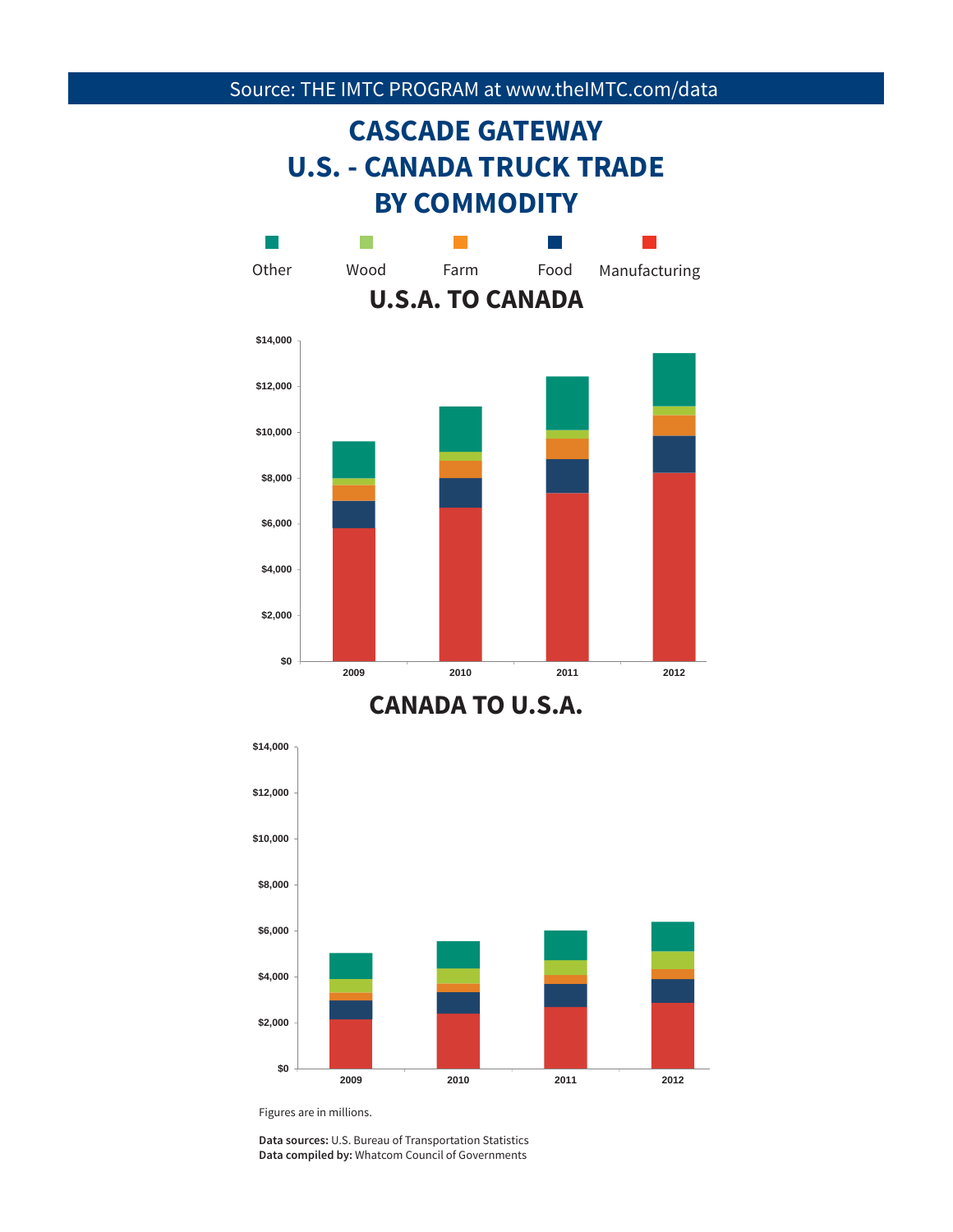## **CASCADE GATEWAY U.S. - CANADA TRUCK TRADE BY COMMODITY**







Figures are in millions.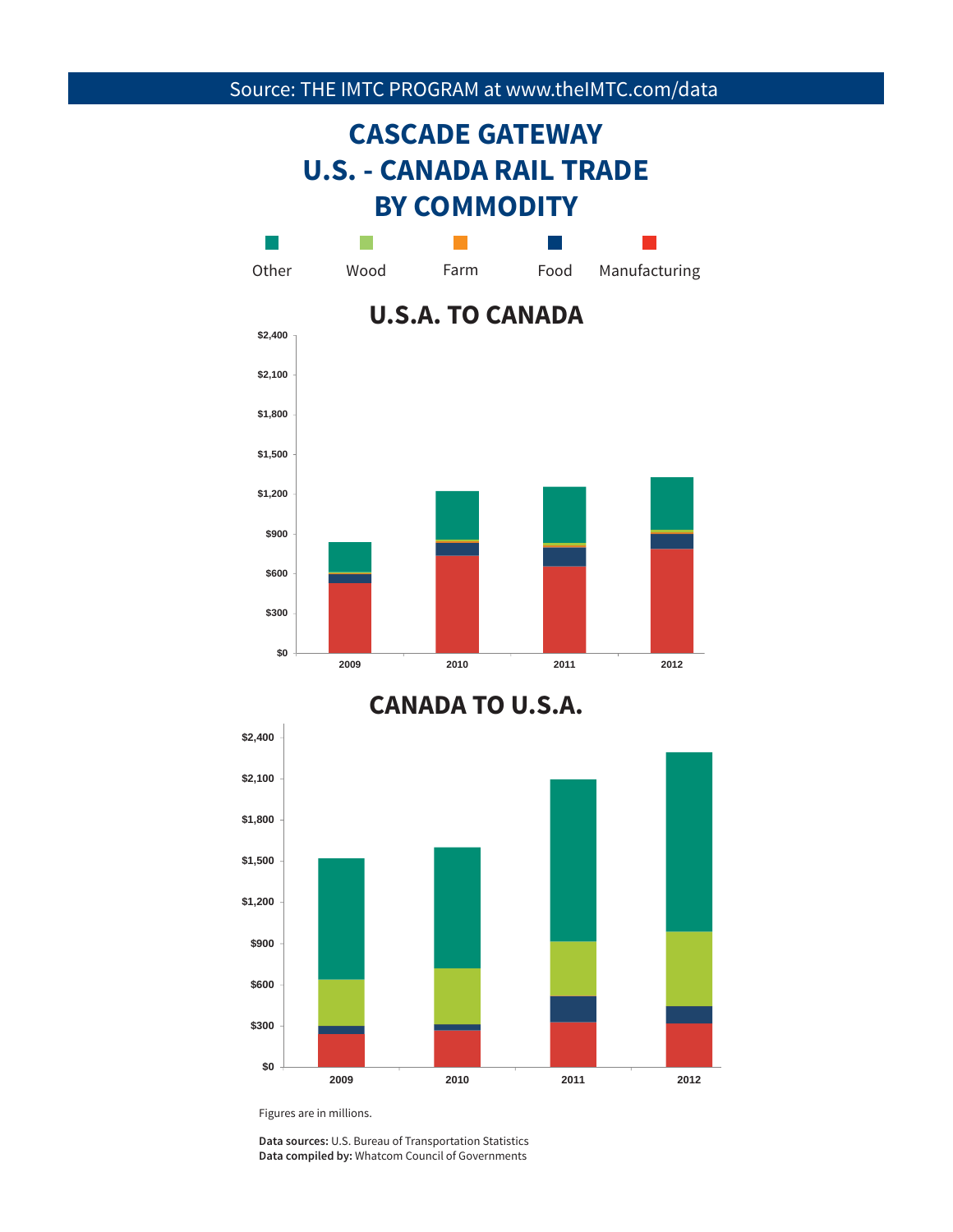# **CASCADE GATEWAY U.S. - CANADA RAIL TRADE BY COMMODITY**







Figures are in millions.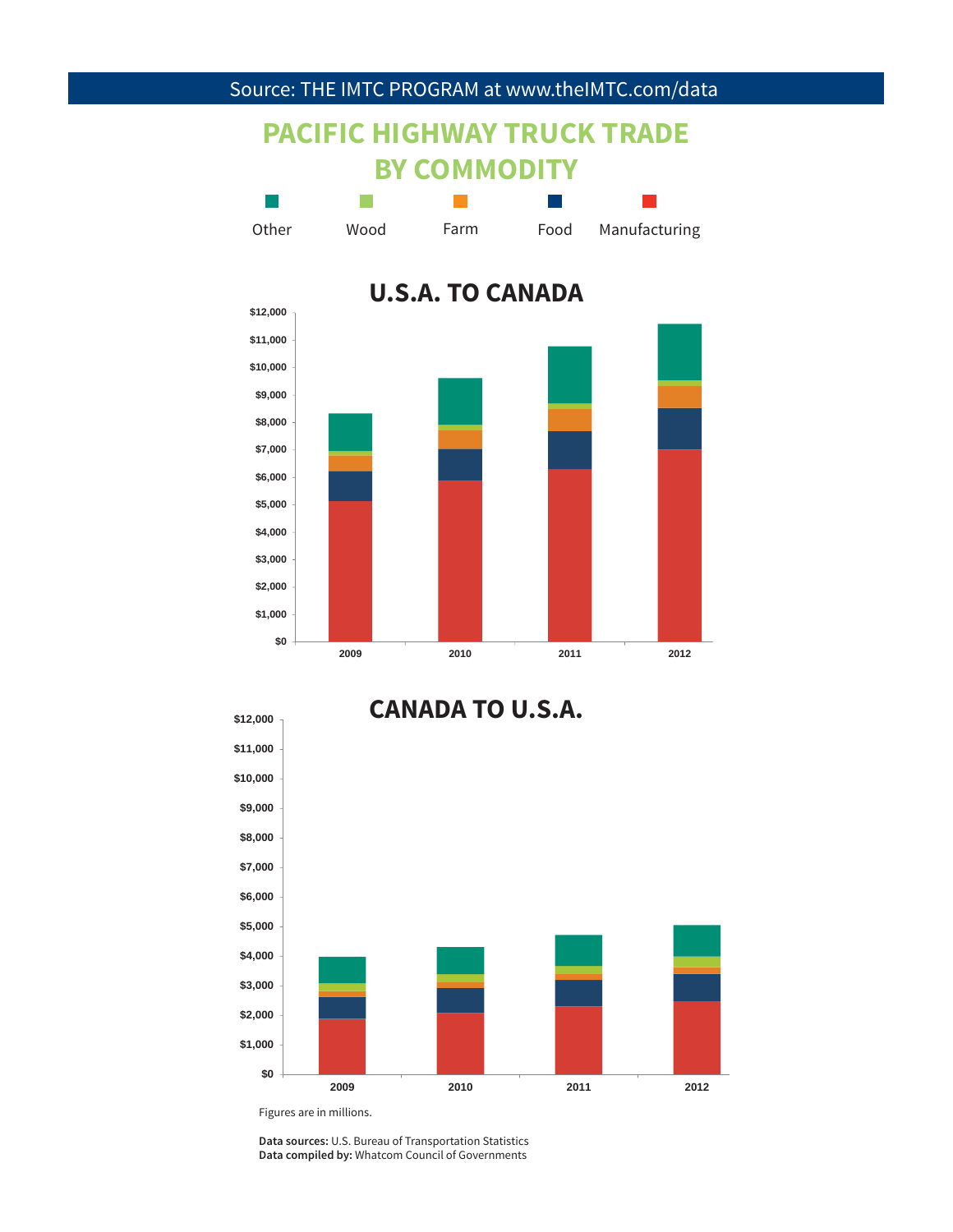# **PACIFIC HIGHWAY TRUCK TRADE BY COMMODITY**

| Other | Wood | Farm | Food Manufacturing |
|-------|------|------|--------------------|





Figures are in millions.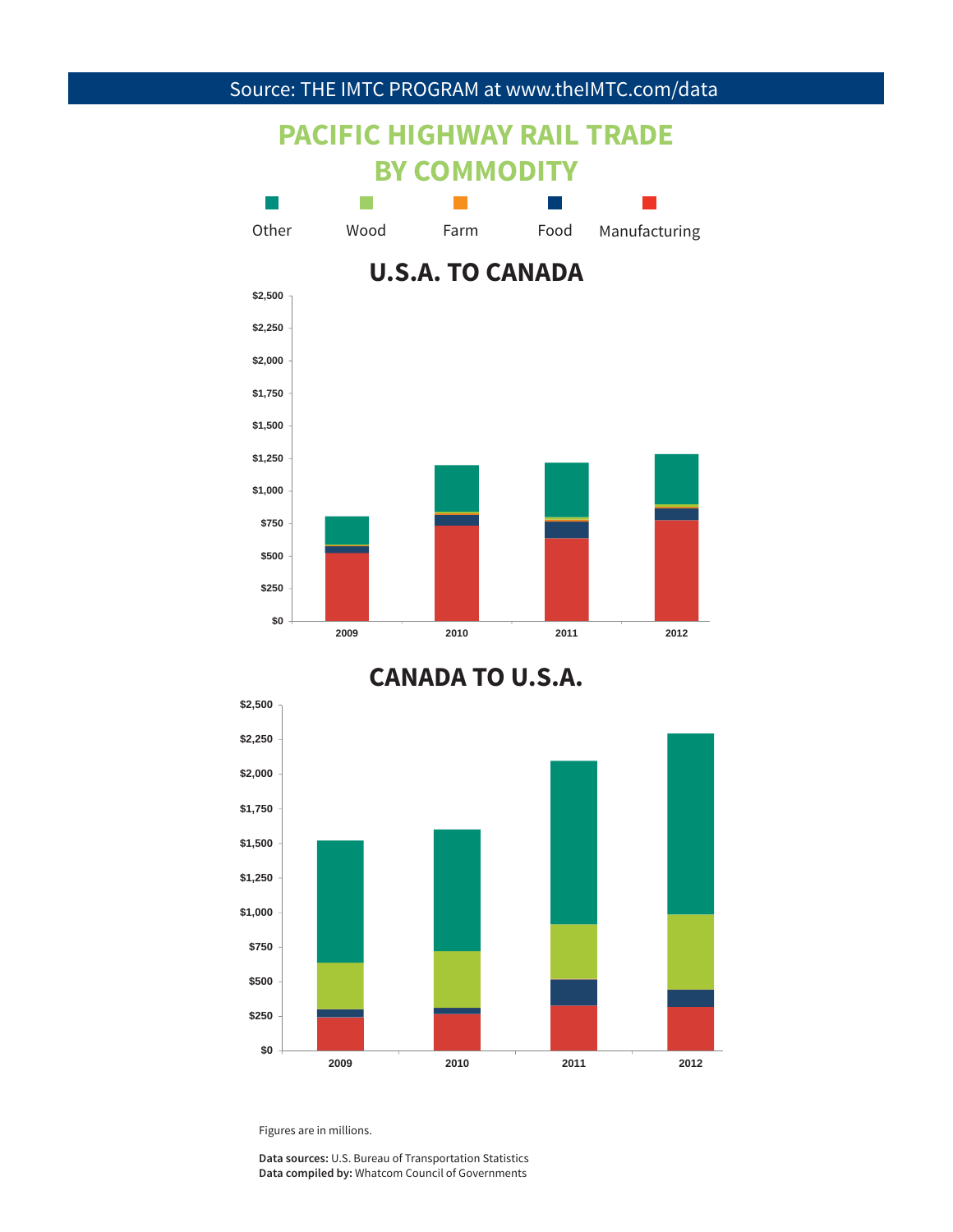# **PACIFIC HIGHWAY RAIL TRADE BY COMMODITY**







Figures are in millions.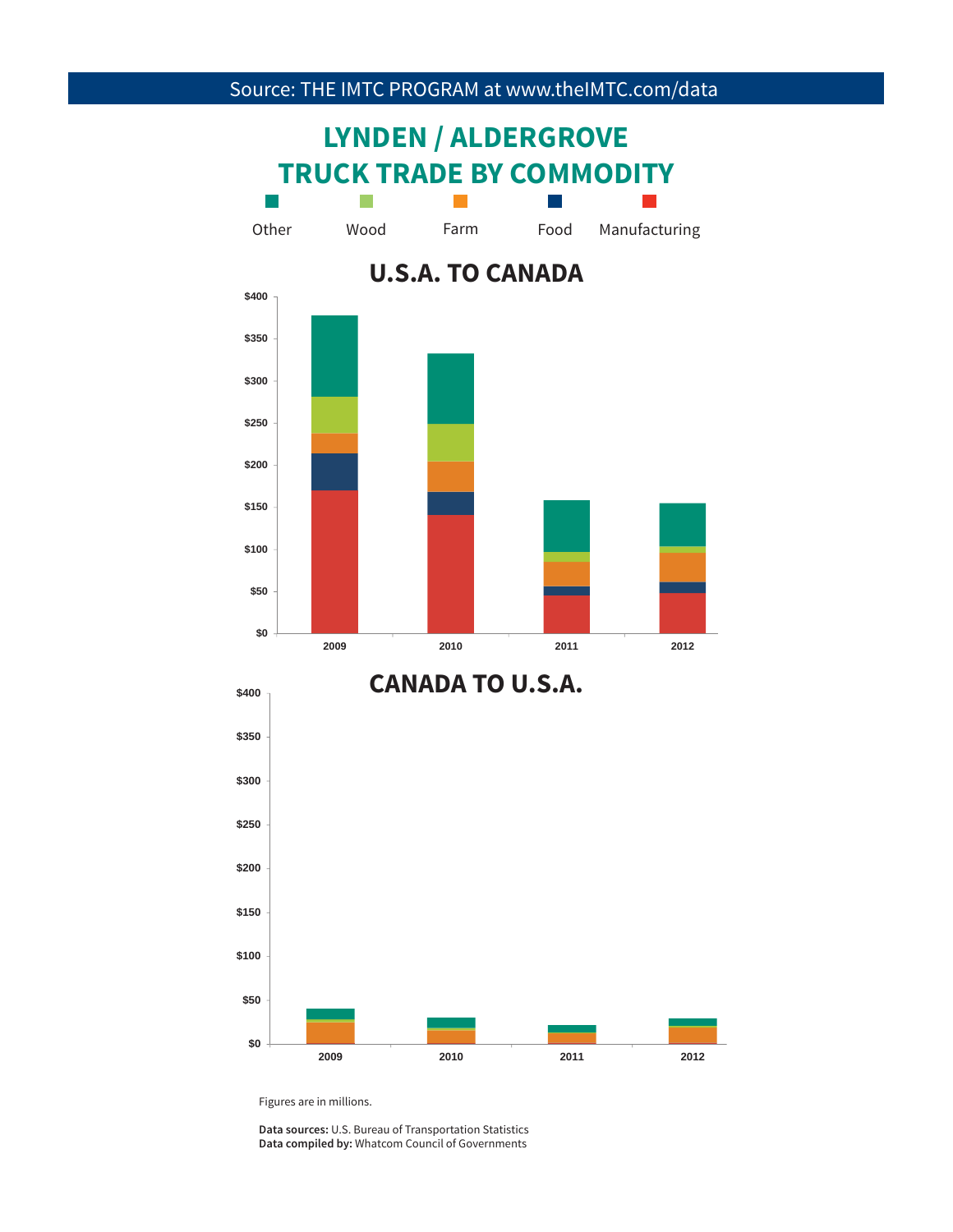

Figures are in millions.